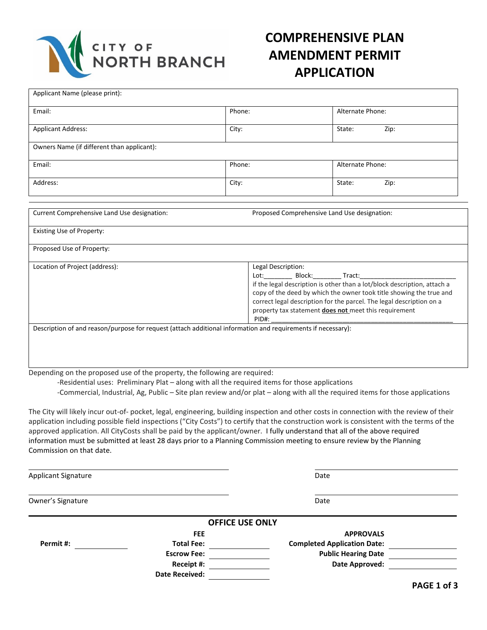

# **COMPREHENSIVE PLAN AMENDMENT PERMIT APPLICATION**

| Applicant Name (please print):              |                                                                                                                                                                                                                                                                                              |                                                                                                                                                                                                                                                               |                                                                                                                                                                                                                                                                                                                                                                                                                                                                                                                                                 |             |
|---------------------------------------------|----------------------------------------------------------------------------------------------------------------------------------------------------------------------------------------------------------------------------------------------------------------------------------------------|---------------------------------------------------------------------------------------------------------------------------------------------------------------------------------------------------------------------------------------------------------------|-------------------------------------------------------------------------------------------------------------------------------------------------------------------------------------------------------------------------------------------------------------------------------------------------------------------------------------------------------------------------------------------------------------------------------------------------------------------------------------------------------------------------------------------------|-------------|
| Email:                                      |                                                                                                                                                                                                                                                                                              | Phone:                                                                                                                                                                                                                                                        | Alternate Phone:                                                                                                                                                                                                                                                                                                                                                                                                                                                                                                                                |             |
| <b>Applicant Address:</b>                   |                                                                                                                                                                                                                                                                                              | City:                                                                                                                                                                                                                                                         | State:                                                                                                                                                                                                                                                                                                                                                                                                                                                                                                                                          | Zip:        |
| Owners Name (if different than applicant):  |                                                                                                                                                                                                                                                                                              |                                                                                                                                                                                                                                                               |                                                                                                                                                                                                                                                                                                                                                                                                                                                                                                                                                 |             |
| Email:                                      |                                                                                                                                                                                                                                                                                              | Phone:                                                                                                                                                                                                                                                        | Alternate Phone:                                                                                                                                                                                                                                                                                                                                                                                                                                                                                                                                |             |
| Address:                                    |                                                                                                                                                                                                                                                                                              | City:                                                                                                                                                                                                                                                         | State:                                                                                                                                                                                                                                                                                                                                                                                                                                                                                                                                          | Zip:        |
| Current Comprehensive Land Use designation: |                                                                                                                                                                                                                                                                                              |                                                                                                                                                                                                                                                               | Proposed Comprehensive Land Use designation:                                                                                                                                                                                                                                                                                                                                                                                                                                                                                                    |             |
| Existing Use of Property:                   |                                                                                                                                                                                                                                                                                              |                                                                                                                                                                                                                                                               |                                                                                                                                                                                                                                                                                                                                                                                                                                                                                                                                                 |             |
| Proposed Use of Property:                   |                                                                                                                                                                                                                                                                                              |                                                                                                                                                                                                                                                               |                                                                                                                                                                                                                                                                                                                                                                                                                                                                                                                                                 |             |
| Location of Project (address):              | Description of and reason/purpose for request (attach additional information and requirements if necessary):<br>Depending on the proposed use of the property, the following are required:<br>-Residential uses: Preliminary Plat - along with all the required items for those applications | Legal Description:<br>Lot: the contract of the contract of the contract of the contract of the contract of the contract of the contract of the contract of the contract of the contract of the contract of the contract of the contract of the contr<br>PID#: | Block: Tract:<br>if the legal description is other than a lot/block description, attach a<br>copy of the deed by which the owner took title showing the true and<br>correct legal description for the parcel. The legal description on a<br>property tax statement does not meet this requirement<br>-Commercial, Industrial, Ag, Public - Site plan review and/or plat - along with all the required items for those applications                                                                                                              |             |
| Commission on that date.                    |                                                                                                                                                                                                                                                                                              |                                                                                                                                                                                                                                                               | The City will likely incur out-of- pocket, legal, engineering, building inspection and other costs in connection with the review of their<br>application including possible field inspections ("City Costs") to certify that the construction work is consistent with the terms of the<br>approved application. All CityCosts shall be paid by the applicant/owner. I fully understand that all of the above required<br>information must be submitted at least 28 days prior to a Planning Commission meeting to ensure review by the Planning |             |
| <b>Applicant Signature</b>                  |                                                                                                                                                                                                                                                                                              |                                                                                                                                                                                                                                                               | Date                                                                                                                                                                                                                                                                                                                                                                                                                                                                                                                                            |             |
| Owner's Signature                           |                                                                                                                                                                                                                                                                                              |                                                                                                                                                                                                                                                               | Date                                                                                                                                                                                                                                                                                                                                                                                                                                                                                                                                            |             |
|                                             |                                                                                                                                                                                                                                                                                              | <b>OFFICE USE ONLY</b>                                                                                                                                                                                                                                        |                                                                                                                                                                                                                                                                                                                                                                                                                                                                                                                                                 |             |
| Permit #:                                   | <b>FEE</b><br><b>Total Fee:</b><br><b>Escrow Fee:</b><br>Receipt #:<br><b>Date Received:</b>                                                                                                                                                                                                 |                                                                                                                                                                                                                                                               | <b>APPROVALS</b><br><b>Completed Application Date:</b><br><b>Public Hearing Date</b><br>Date Approved:                                                                                                                                                                                                                                                                                                                                                                                                                                          |             |
|                                             |                                                                                                                                                                                                                                                                                              |                                                                                                                                                                                                                                                               |                                                                                                                                                                                                                                                                                                                                                                                                                                                                                                                                                 | PAGE 1 of 3 |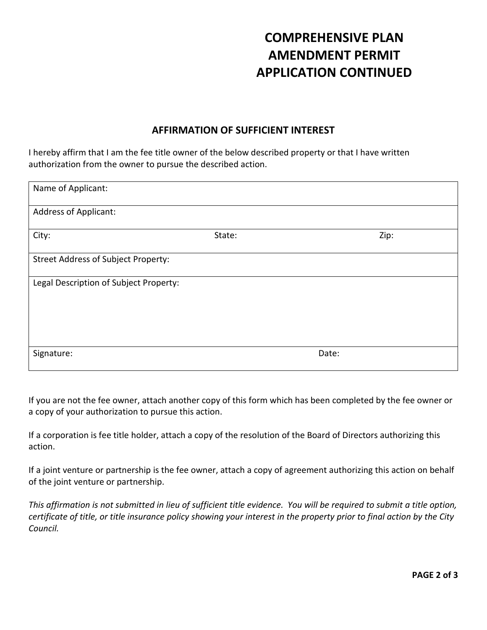# **COMPREHENSIVE PLAN AMENDMENT PERMIT APPLICATION CONTINUED**

### **AFFIRMATION OF SUFFICIENT INTEREST**

I hereby affirm that I am the fee title owner of the below described property or that I have written authorization from the owner to pursue the described action.

| Name of Applicant:                     |        |       |      |  |  |
|----------------------------------------|--------|-------|------|--|--|
| <b>Address of Applicant:</b>           |        |       |      |  |  |
| City:                                  | State: |       | Zip: |  |  |
| Street Address of Subject Property:    |        |       |      |  |  |
| Legal Description of Subject Property: |        |       |      |  |  |
|                                        |        |       |      |  |  |
| Signature:                             |        | Date: |      |  |  |

If you are not the fee owner, attach another copy of this form which has been completed by the fee owner or a copy of your authorization to pursue this action.

If a corporation is fee title holder, attach a copy of the resolution of the Board of Directors authorizing this action.

If a joint venture or partnership is the fee owner, attach a copy of agreement authorizing this action on behalf of the joint venture or partnership.

*This affirmation is not submitted in lieu of sufficient title evidence. You will be required to submit a title option, certificate of title, or title insurance policy showing your interest in the property prior to final action by the City Council.*